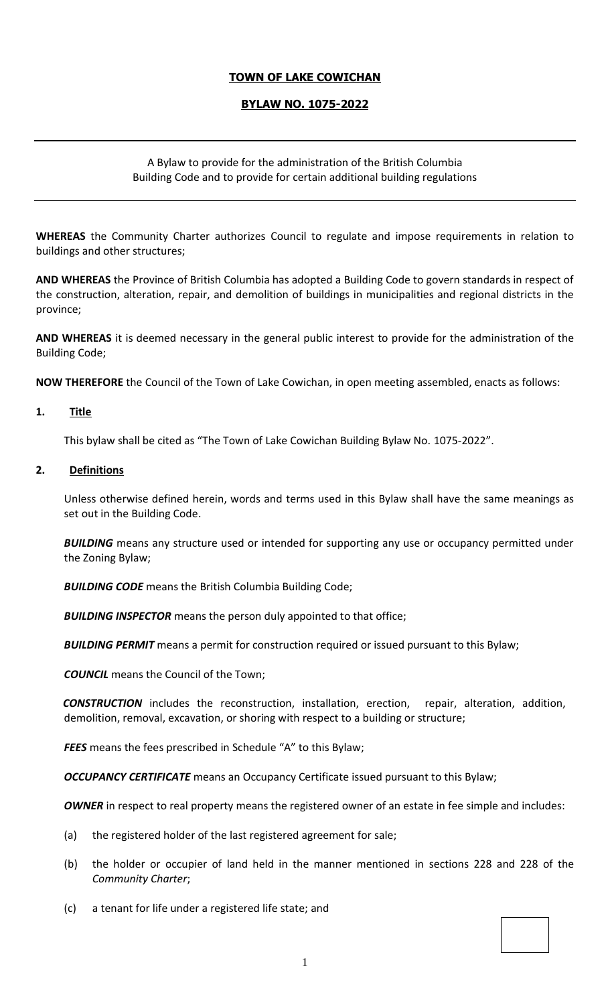## **TOWN OF LAKE COWICHAN**

# **BYLAW NO. 1075-2022**

# A Bylaw to provide for the administration of the British Columbia Building Code and to provide for certain additional building regulations

**WHEREAS** the Community Charter authorizes Council to regulate and impose requirements in relation to buildings and other structures;

**AND WHEREAS** the Province of British Columbia has adopted a Building Code to govern standards in respect of the construction, alteration, repair, and demolition of buildings in municipalities and regional districts in the province;

**AND WHEREAS** it is deemed necessary in the general public interest to provide for the administration of the Building Code;

**NOW THEREFORE** the Council of the Town of Lake Cowichan, in open meeting assembled, enacts as follows:

#### **1. Title**

This bylaw shall be cited as "The Town of Lake Cowichan Building Bylaw No. 1075-2022".

#### **2. Definitions**

Unless otherwise defined herein, words and terms used in this Bylaw shall have the same meanings as set out in the Building Code.

**BUILDING** means any structure used or intended for supporting any use or occupancy permitted under the Zoning Bylaw;

**BUILDING CODE** means the British Columbia Building Code;

**BUILDING INSPECTOR** means the person duly appointed to that office;

**BUILDING PERMIT** means a permit for construction required or issued pursuant to this Bylaw;

*COUNCIL* means the Council of the Town;

 *CONSTRUCTION* includes the reconstruction, installation, erection, repair, alteration, addition, demolition, removal, excavation, or shoring with respect to a building or structure;

*FEES* means the fees prescribed in Schedule "A" to this Bylaw;

*OCCUPANCY CERTIFICATE* means an Occupancy Certificate issued pursuant to this Bylaw;

**OWNER** in respect to real property means the registered owner of an estate in fee simple and includes:

- (a) the registered holder of the last registered agreement for sale;
- (b) the holder or occupier of land held in the manner mentioned in sections 228 and 228 of the *Community Charter*;
- (c) a tenant for life under a registered life state; and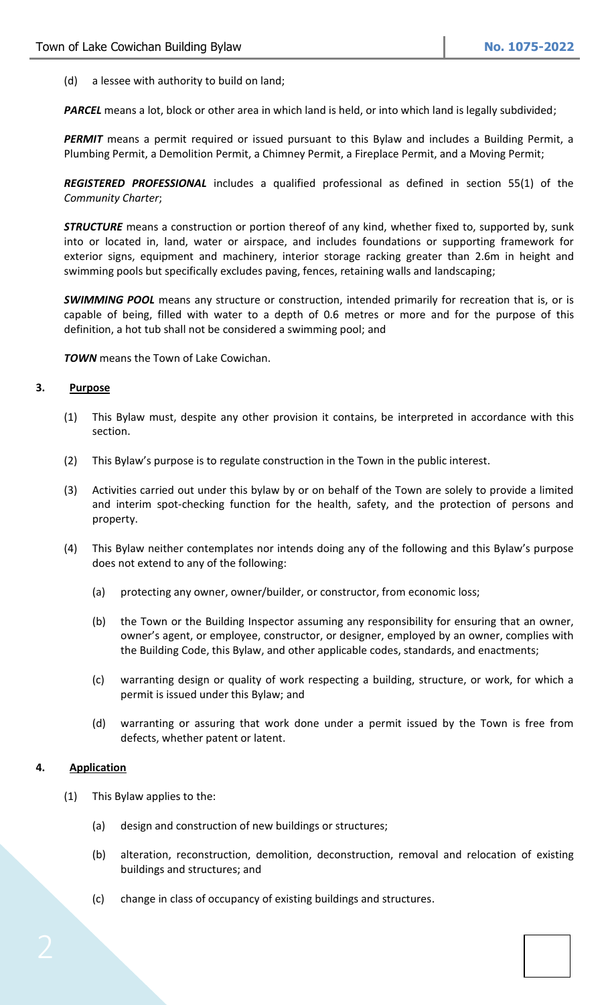(d) a lessee with authority to build on land;

**PARCEL** means a lot, block or other area in which land is held, or into which land is legally subdivided;

**PERMIT** means a permit required or issued pursuant to this Bylaw and includes a Building Permit, a Plumbing Permit, a Demolition Permit, a Chimney Permit, a Fireplace Permit, and a Moving Permit;

*REGISTERED PROFESSIONAL* includes a qualified professional as defined in section 55(1) of the *Community Charter*;

*STRUCTURE* means a construction or portion thereof of any kind, whether fixed to, supported by, sunk into or located in, land, water or airspace, and includes foundations or supporting framework for exterior signs, equipment and machinery, interior storage racking greater than 2.6m in height and swimming pools but specifically excludes paving, fences, retaining walls and landscaping;

*SWIMMING POOL* means any structure or construction, intended primarily for recreation that is, or is capable of being, filled with water to a depth of 0.6 metres or more and for the purpose of this definition, a hot tub shall not be considered a swimming pool; and

*TOWN* means the Town of Lake Cowichan.

## **3. Purpose**

- (1) This Bylaw must, despite any other provision it contains, be interpreted in accordance with this section.
- (2) This Bylaw's purpose is to regulate construction in the Town in the public interest.
- (3) Activities carried out under this bylaw by or on behalf of the Town are solely to provide a limited and interim spot-checking function for the health, safety, and the protection of persons and property.
- (4) This Bylaw neither contemplates nor intends doing any of the following and this Bylaw's purpose does not extend to any of the following:
	- (a) protecting any owner, owner/builder, or constructor, from economic loss;
	- (b) the Town or the Building Inspector assuming any responsibility for ensuring that an owner, owner's agent, or employee, constructor, or designer, employed by an owner, complies with the Building Code, this Bylaw, and other applicable codes, standards, and enactments;
	- (c) warranting design or quality of work respecting a building, structure, or work, for which a permit is issued under this Bylaw; and
	- (d) warranting or assuring that work done under a permit issued by the Town is free from defects, whether patent or latent.

## **4. Application**

- (1) This Bylaw applies to the:
	- (a) design and construction of new buildings or structures;
	- (b) alteration, reconstruction, demolition, deconstruction, removal and relocation of existing buildings and structures; and
	- (c) change in class of occupancy of existing buildings and structures.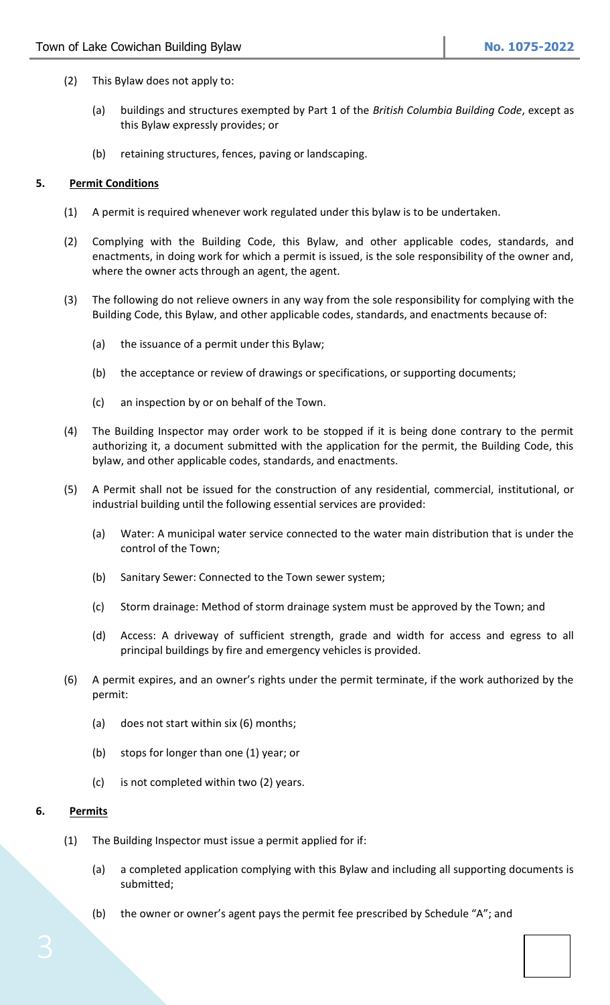- (2) This Bylaw does not apply to:
	- (a) buildings and structures exempted by Part 1 of the *British Columbia Building Code*, except as this Bylaw expressly provides; or
	- (b) retaining structures, fences, paving or landscaping.

#### **5. Permit Conditions**

- (1) A permit is required whenever work regulated under this bylaw is to be undertaken.
- (2) Complying with the Building Code, this Bylaw, and other applicable codes, standards, and enactments, in doing work for which a permit is issued, is the sole responsibility of the owner and, where the owner acts through an agent, the agent.
- (3) The following do not relieve owners in any way from the sole responsibility for complying with the Building Code, this Bylaw, and other applicable codes, standards, and enactments because of:
	- (a) the issuance of a permit under this Bylaw;
	- (b) the acceptance or review of drawings or specifications, or supporting documents;
	- (c) an inspection by or on behalf of the Town.
- (4) The Building Inspector may order work to be stopped if it is being done contrary to the permit authorizing it, a document submitted with the application for the permit, the Building Code, this bylaw, and other applicable codes, standards, and enactments.
- (5) A Permit shall not be issued for the construction of any residential, commercial, institutional, or industrial building until the following essential services are provided:
	- (a) Water: A municipal water service connected to the water main distribution that is under the control of the Town;
	- (b) Sanitary Sewer: Connected to the Town sewer system;
	- (c) Storm drainage: Method of storm drainage system must be approved by the Town; and
	- (d) Access: A driveway of sufficient strength, grade and width for access and egress to all principal buildings by fire and emergency vehicles is provided.
- (6) A permit expires, and an owner's rights under the permit terminate, if the work authorized by the permit:
	- (a) does not start within six (6) months;
	- (b) stops for longer than one (1) year; or
	- (c) is not completed within two (2) years.

#### **6. Permits**

- (1) The Building Inspector must issue a permit applied for if:
	- (a) a completed application complying with this Bylaw and including all supporting documents is submitted;
	- (b) the owner or owner's agent pays the permit fee prescribed by Schedule "A"; and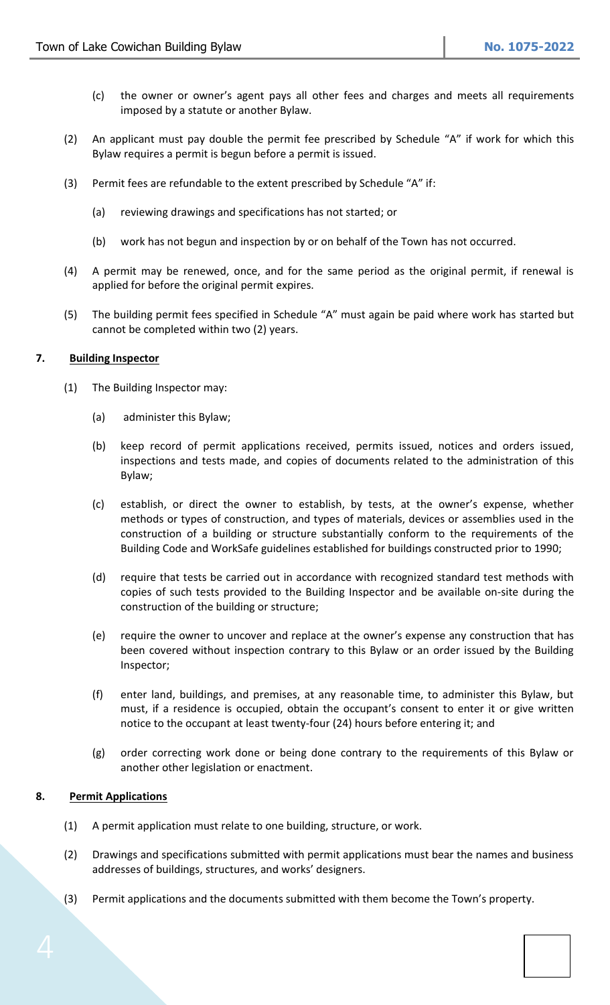- (c) the owner or owner's agent pays all other fees and charges and meets all requirements imposed by a statute or another Bylaw.
- (2) An applicant must pay double the permit fee prescribed by Schedule "A" if work for which this Bylaw requires a permit is begun before a permit is issued.
- (3) Permit fees are refundable to the extent prescribed by Schedule "A" if:
	- (a) reviewing drawings and specifications has not started; or
	- (b) work has not begun and inspection by or on behalf of the Town has not occurred.
- (4) A permit may be renewed, once, and for the same period as the original permit, if renewal is applied for before the original permit expires.
- (5) The building permit fees specified in Schedule "A" must again be paid where work has started but cannot be completed within two (2) years.

## **7. Building Inspector**

- (1) The Building Inspector may:
	- (a) administer this Bylaw;
	- (b) keep record of permit applications received, permits issued, notices and orders issued, inspections and tests made, and copies of documents related to the administration of this Bylaw;
	- (c) establish, or direct the owner to establish, by tests, at the owner's expense, whether methods or types of construction, and types of materials, devices or assemblies used in the construction of a building or structure substantially conform to the requirements of the Building Code and WorkSafe guidelines established for buildings constructed prior to 1990;
	- (d) require that tests be carried out in accordance with recognized standard test methods with copies of such tests provided to the Building Inspector and be available on-site during the construction of the building or structure;
	- (e) require the owner to uncover and replace at the owner's expense any construction that has been covered without inspection contrary to this Bylaw or an order issued by the Building Inspector;
	- (f) enter land, buildings, and premises, at any reasonable time, to administer this Bylaw, but must, if a residence is occupied, obtain the occupant's consent to enter it or give written notice to the occupant at least twenty-four (24) hours before entering it; and
	- (g) order correcting work done or being done contrary to the requirements of this Bylaw or another other legislation or enactment.

# **8. Permit Applications**

- (1) A permit application must relate to one building, structure, or work.
- (2) Drawings and specifications submitted with permit applications must bear the names and business addresses of buildings, structures, and works' designers.
- (3) Permit applications and the documents submitted with them become the Town's property.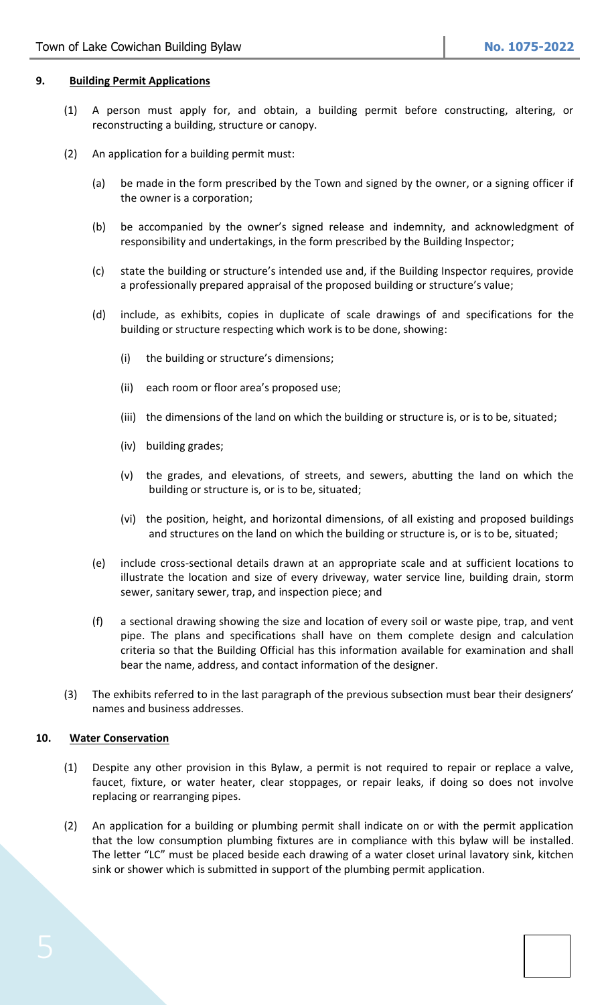#### **9. Building Permit Applications**

- (1) A person must apply for, and obtain, a building permit before constructing, altering, or reconstructing a building, structure or canopy.
- (2) An application for a building permit must:
	- (a) be made in the form prescribed by the Town and signed by the owner, or a signing officer if the owner is a corporation;
	- (b) be accompanied by the owner's signed release and indemnity, and acknowledgment of responsibility and undertakings, in the form prescribed by the Building Inspector;
	- (c) state the building or structure's intended use and, if the Building Inspector requires, provide a professionally prepared appraisal of the proposed building or structure's value;
	- (d) include, as exhibits, copies in duplicate of scale drawings of and specifications for the building or structure respecting which work is to be done, showing:
		- (i) the building or structure's dimensions;
		- (ii) each room or floor area's proposed use;
		- (iii) the dimensions of the land on which the building or structure is, or is to be, situated;
		- (iv) building grades;
		- (v) the grades, and elevations, of streets, and sewers, abutting the land on which the building or structure is, or is to be, situated;
		- (vi) the position, height, and horizontal dimensions, of all existing and proposed buildings and structures on the land on which the building or structure is, or is to be, situated;
	- (e) include cross-sectional details drawn at an appropriate scale and at sufficient locations to illustrate the location and size of every driveway, water service line, building drain, storm sewer, sanitary sewer, trap, and inspection piece; and
	- (f) a sectional drawing showing the size and location of every soil or waste pipe, trap, and vent pipe. The plans and specifications shall have on them complete design and calculation criteria so that the Building Official has this information available for examination and shall bear the name, address, and contact information of the designer.
- (3) The exhibits referred to in the last paragraph of the previous subsection must bear their designers' names and business addresses.

#### **10. Water Conservation**

- (1) Despite any other provision in this Bylaw, a permit is not required to repair or replace a valve, faucet, fixture, or water heater, clear stoppages, or repair leaks, if doing so does not involve replacing or rearranging pipes.
- (2) An application for a building or plumbing permit shall indicate on or with the permit application that the low consumption plumbing fixtures are in compliance with this bylaw will be installed. The letter "LC" must be placed beside each drawing of a water closet urinal lavatory sink, kitchen sink or shower which is submitted in support of the plumbing permit application.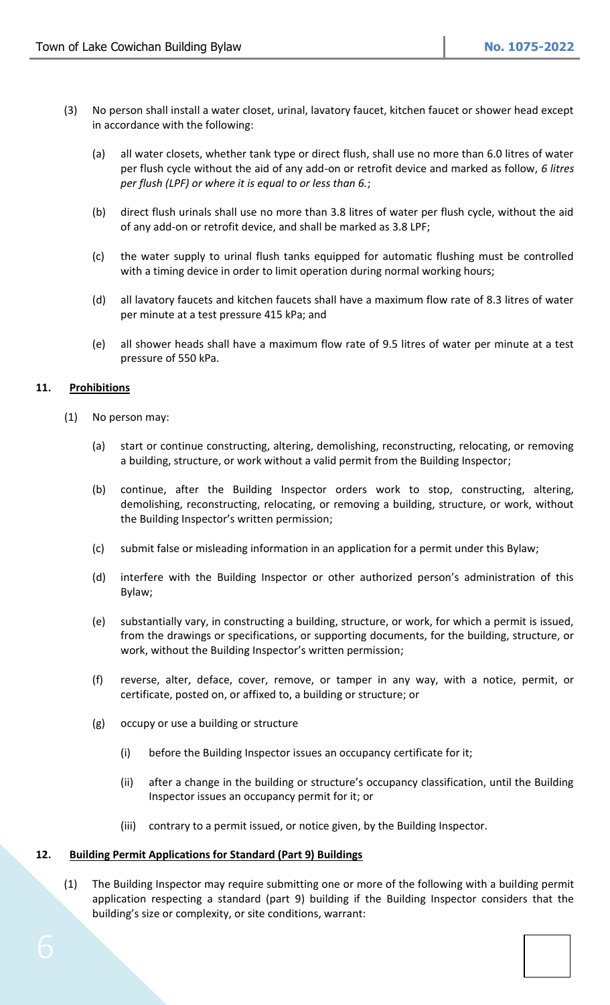- (3) No person shall install a water closet, urinal, lavatory faucet, kitchen faucet or shower head except in accordance with the following:
	- (a) all water closets, whether tank type or direct flush, shall use no more than 6.0 litres of water per flush cycle without the aid of any add-on or retrofit device and marked as follow, *6 litres per flush (LPF) or where it is equal to or less than 6.*;
	- (b) direct flush urinals shall use no more than 3.8 litres of water per flush cycle, without the aid of any add-on or retrofit device, and shall be marked as 3.8 LPF;
	- (c) the water supply to urinal flush tanks equipped for automatic flushing must be controlled with a timing device in order to limit operation during normal working hours;
	- (d) all lavatory faucets and kitchen faucets shall have a maximum flow rate of 8.3 litres of water per minute at a test pressure 415 kPa; and
	- (e) all shower heads shall have a maximum flow rate of 9.5 litres of water per minute at a test pressure of 550 kPa.

## **11. Prohibitions**

- (1) No person may:
	- (a) start or continue constructing, altering, demolishing, reconstructing, relocating, or removing a building, structure, or work without a valid permit from the Building Inspector;
	- (b) continue, after the Building Inspector orders work to stop, constructing, altering, demolishing, reconstructing, relocating, or removing a building, structure, or work, without the Building Inspector's written permission;
	- (c) submit false or misleading information in an application for a permit under this Bylaw;
	- (d) interfere with the Building Inspector or other authorized person's administration of this Bylaw;
	- (e) substantially vary, in constructing a building, structure, or work, for which a permit is issued, from the drawings or specifications, or supporting documents, for the building, structure, or work, without the Building Inspector's written permission;
	- (f) reverse, alter, deface, cover, remove, or tamper in any way, with a notice, permit, or certificate, posted on, or affixed to, a building or structure; or
	- (g) occupy or use a building or structure
		- (i) before the Building Inspector issues an occupancy certificate for it;
		- (ii) after a change in the building or structure's occupancy classification, until the Building Inspector issues an occupancy permit for it; or
		- (iii) contrary to a permit issued, or notice given, by the Building Inspector.

## **12. Building Permit Applications for Standard (Part 9) Buildings**

(1) The Building Inspector may require submitting one or more of the following with a building permit application respecting a standard (part 9) building if the Building Inspector considers that the building's size or complexity, or site conditions, warrant: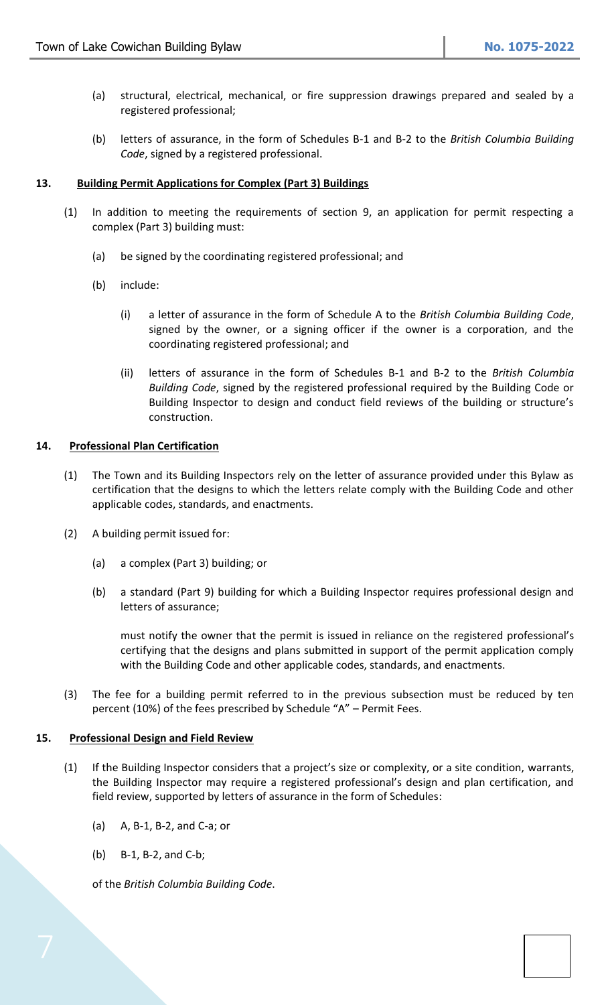- (a) structural, electrical, mechanical, or fire suppression drawings prepared and sealed by a registered professional;
- (b) letters of assurance, in the form of Schedules B-1 and B-2 to the *British Columbia Building Code*, signed by a registered professional.

## **13. Building Permit Applications for Complex (Part 3) Buildings**

- (1) In addition to meeting the requirements of section 9, an application for permit respecting a complex (Part 3) building must:
	- (a) be signed by the coordinating registered professional; and
	- (b) include:
		- (i) a letter of assurance in the form of Schedule A to the *British Columbia Building Code*, signed by the owner, or a signing officer if the owner is a corporation, and the coordinating registered professional; and
		- (ii) letters of assurance in the form of Schedules B-1 and B-2 to the *British Columbia Building Code*, signed by the registered professional required by the Building Code or Building Inspector to design and conduct field reviews of the building or structure's construction.

## **14. Professional Plan Certification**

- (1) The Town and its Building Inspectors rely on the letter of assurance provided under this Bylaw as certification that the designs to which the letters relate comply with the Building Code and other applicable codes, standards, and enactments.
- (2) A building permit issued for:
	- (a) a complex (Part 3) building; or
	- (b) a standard (Part 9) building for which a Building Inspector requires professional design and letters of assurance;

must notify the owner that the permit is issued in reliance on the registered professional's certifying that the designs and plans submitted in support of the permit application comply with the Building Code and other applicable codes, standards, and enactments.

(3) The fee for a building permit referred to in the previous subsection must be reduced by ten percent (10%) of the fees prescribed by Schedule "A" – Permit Fees.

## **15. Professional Design and Field Review**

- (1) If the Building Inspector considers that a project's size or complexity, or a site condition, warrants, the Building Inspector may require a registered professional's design and plan certification, and field review, supported by letters of assurance in the form of Schedules:
	- (a) A, B-1, B-2, and C-a; or
	- (b) B-1, B-2, and C-b;

of the *British Columbia Building Code*.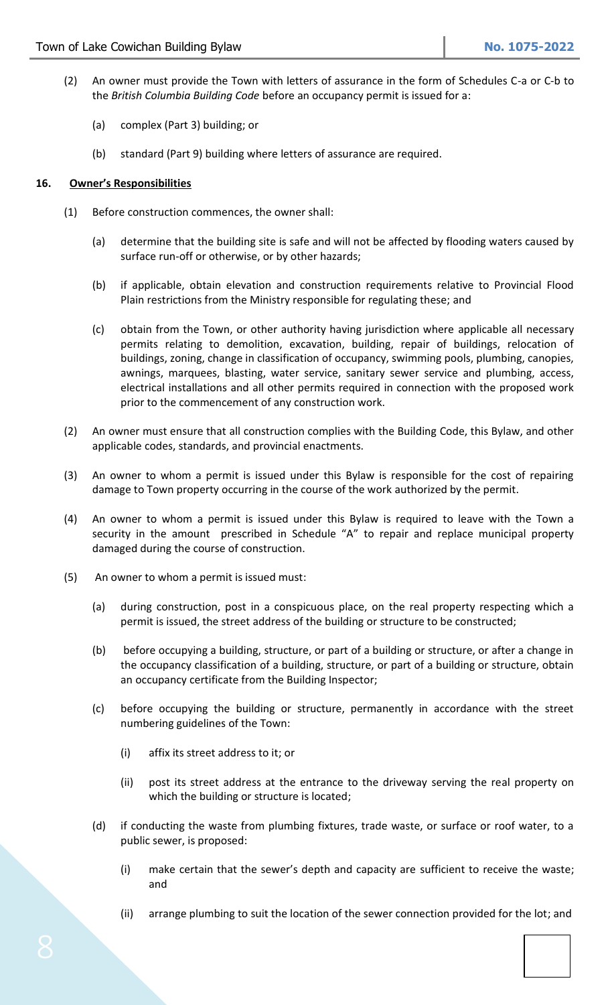- (2) An owner must provide the Town with letters of assurance in the form of Schedules C-a or C-b to the *British Columbia Building Code* before an occupancy permit is issued for a:
	- (a) complex (Part 3) building; or
	- (b) standard (Part 9) building where letters of assurance are required.

## **16. Owner's Responsibilities**

- (1) Before construction commences, the owner shall:
	- (a) determine that the building site is safe and will not be affected by flooding waters caused by surface run-off or otherwise, or by other hazards;
	- (b) if applicable, obtain elevation and construction requirements relative to Provincial Flood Plain restrictions from the Ministry responsible for regulating these; and
	- (c) obtain from the Town, or other authority having jurisdiction where applicable all necessary permits relating to demolition, excavation, building, repair of buildings, relocation of buildings, zoning, change in classification of occupancy, swimming pools, plumbing, canopies, awnings, marquees, blasting, water service, sanitary sewer service and plumbing, access, electrical installations and all other permits required in connection with the proposed work prior to the commencement of any construction work.
- (2) An owner must ensure that all construction complies with the Building Code, this Bylaw, and other applicable codes, standards, and provincial enactments.
- (3) An owner to whom a permit is issued under this Bylaw is responsible for the cost of repairing damage to Town property occurring in the course of the work authorized by the permit.
- (4) An owner to whom a permit is issued under this Bylaw is required to leave with the Town a security in the amount prescribed in Schedule "A" to repair and replace municipal property damaged during the course of construction.
- (5) An owner to whom a permit is issued must:
	- (a) during construction, post in a conspicuous place, on the real property respecting which a permit is issued, the street address of the building or structure to be constructed;
	- (b) before occupying a building, structure, or part of a building or structure, or after a change in the occupancy classification of a building, structure, or part of a building or structure, obtain an occupancy certificate from the Building Inspector;
	- (c) before occupying the building or structure, permanently in accordance with the street numbering guidelines of the Town:
		- (i) affix its street address to it; or
		- (ii) post its street address at the entrance to the driveway serving the real property on which the building or structure is located;
	- (d) if conducting the waste from plumbing fixtures, trade waste, or surface or roof water, to a public sewer, is proposed:
		- (i) make certain that the sewer's depth and capacity are sufficient to receive the waste; and
		- (ii) arrange plumbing to suit the location of the sewer connection provided for the lot; and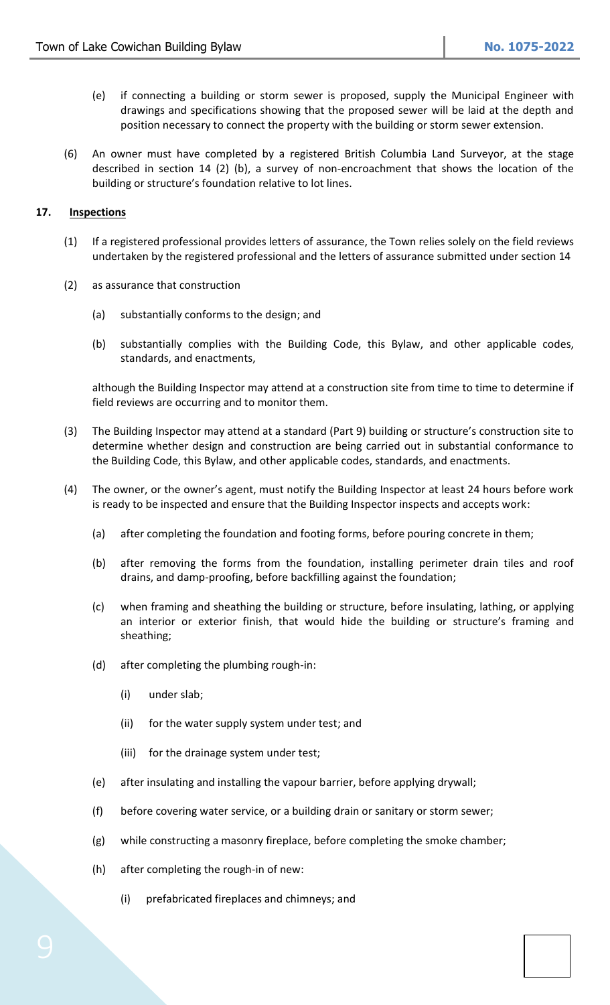- (e) if connecting a building or storm sewer is proposed, supply the Municipal Engineer with drawings and specifications showing that the proposed sewer will be laid at the depth and position necessary to connect the property with the building or storm sewer extension.
- (6) An owner must have completed by a registered British Columbia Land Surveyor, at the stage described in section 14 (2) (b), a survey of non-encroachment that shows the location of the building or structure's foundation relative to lot lines.

## **17. Inspections**

- (1) If a registered professional provides letters of assurance, the Town relies solely on the field reviews undertaken by the registered professional and the letters of assurance submitted under section 14
- (2) as assurance that construction
	- (a) substantially conforms to the design; and
	- (b) substantially complies with the Building Code, this Bylaw, and other applicable codes, standards, and enactments,

although the Building Inspector may attend at a construction site from time to time to determine if field reviews are occurring and to monitor them.

- (3) The Building Inspector may attend at a standard (Part 9) building or structure's construction site to determine whether design and construction are being carried out in substantial conformance to the Building Code, this Bylaw, and other applicable codes, standards, and enactments.
- (4) The owner, or the owner's agent, must notify the Building Inspector at least 24 hours before work is ready to be inspected and ensure that the Building Inspector inspects and accepts work:
	- (a) after completing the foundation and footing forms, before pouring concrete in them;
	- (b) after removing the forms from the foundation, installing perimeter drain tiles and roof drains, and damp-proofing, before backfilling against the foundation;
	- (c) when framing and sheathing the building or structure, before insulating, lathing, or applying an interior or exterior finish, that would hide the building or structure's framing and sheathing;
	- (d) after completing the plumbing rough-in:
		- (i) under slab;
		- (ii) for the water supply system under test; and
		- (iii) for the drainage system under test;
	- (e) after insulating and installing the vapour barrier, before applying drywall;
	- (f) before covering water service, or a building drain or sanitary or storm sewer;
	- (g) while constructing a masonry fireplace, before completing the smoke chamber;
	- (h) after completing the rough-in of new:
		- (i) prefabricated fireplaces and chimneys; and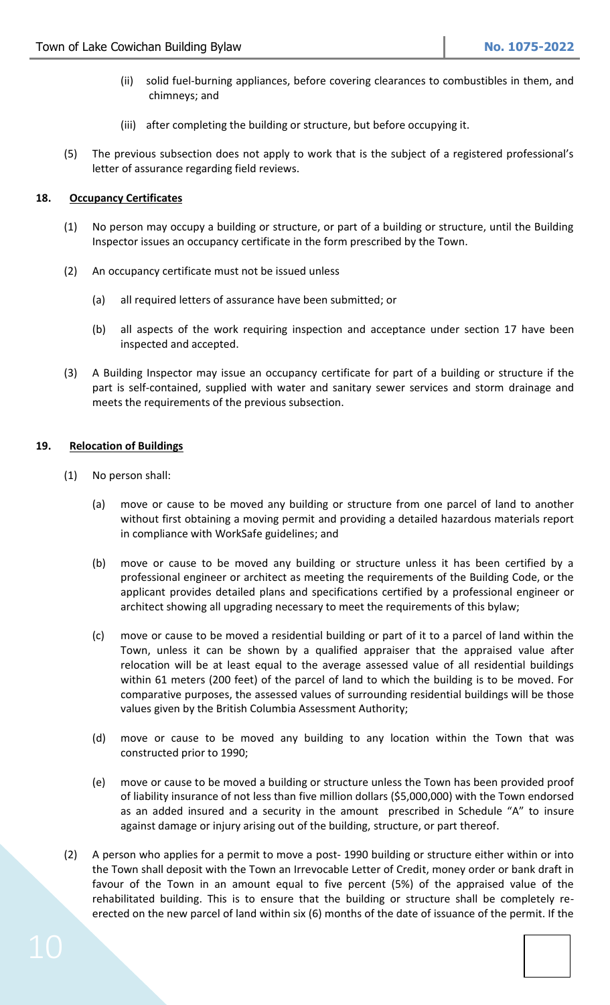- (ii) solid fuel-burning appliances, before covering clearances to combustibles in them, and chimneys; and
- (iii) after completing the building or structure, but before occupying it.
- (5) The previous subsection does not apply to work that is the subject of a registered professional's letter of assurance regarding field reviews.

## **18. Occupancy Certificates**

- (1) No person may occupy a building or structure, or part of a building or structure, until the Building Inspector issues an occupancy certificate in the form prescribed by the Town.
- (2) An occupancy certificate must not be issued unless
	- (a) all required letters of assurance have been submitted; or
	- (b) all aspects of the work requiring inspection and acceptance under section 17 have been inspected and accepted.
- (3) A Building Inspector may issue an occupancy certificate for part of a building or structure if the part is self-contained, supplied with water and sanitary sewer services and storm drainage and meets the requirements of the previous subsection.

## **19. Relocation of Buildings**

- (1) No person shall:
	- (a) move or cause to be moved any building or structure from one parcel of land to another without first obtaining a moving permit and providing a detailed hazardous materials report in compliance with WorkSafe guidelines; and
	- (b) move or cause to be moved any building or structure unless it has been certified by a professional engineer or architect as meeting the requirements of the Building Code, or the applicant provides detailed plans and specifications certified by a professional engineer or architect showing all upgrading necessary to meet the requirements of this bylaw;
	- (c) move or cause to be moved a residential building or part of it to a parcel of land within the Town, unless it can be shown by a qualified appraiser that the appraised value after relocation will be at least equal to the average assessed value of all residential buildings within 61 meters (200 feet) of the parcel of land to which the building is to be moved. For comparative purposes, the assessed values of surrounding residential buildings will be those values given by the British Columbia Assessment Authority;
	- (d) move or cause to be moved any building to any location within the Town that was constructed prior to 1990;
	- (e) move or cause to be moved a building or structure unless the Town has been provided proof of liability insurance of not less than five million dollars (\$5,000,000) with the Town endorsed as an added insured and a security in the amount prescribed in Schedule "A" to insure against damage or injury arising out of the building, structure, or part thereof.
- (2) A person who applies for a permit to move a post- 1990 building or structure either within or into the Town shall deposit with the Town an Irrevocable Letter of Credit, money order or bank draft in favour of the Town in an amount equal to five percent (5%) of the appraised value of the rehabilitated building. This is to ensure that the building or structure shall be completely reerected on the new parcel of land within six (6) months of the date of issuance of the permit. If the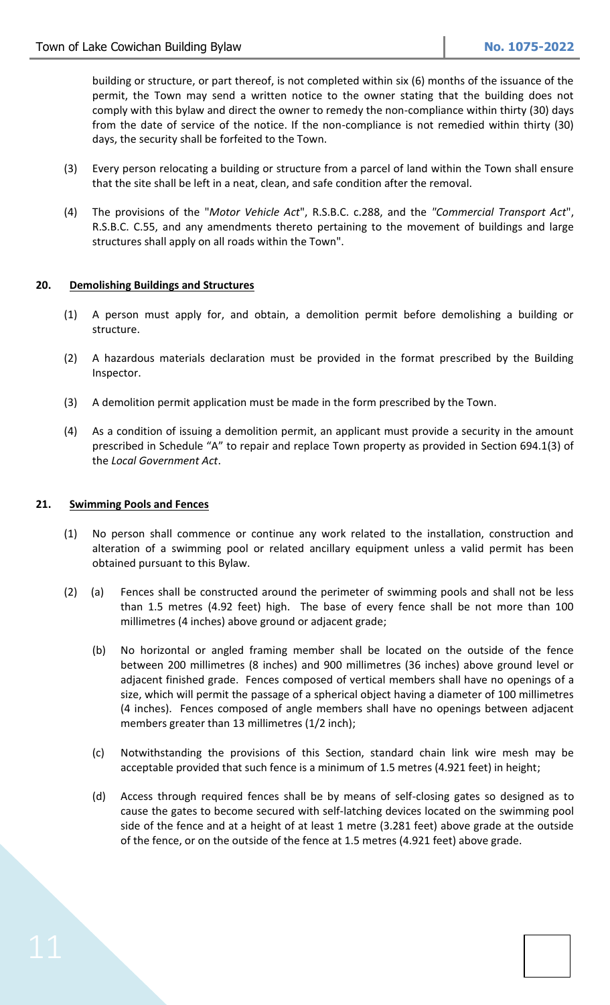building or structure, or part thereof, is not completed within six (6) months of the issuance of the permit, the Town may send a written notice to the owner stating that the building does not comply with this bylaw and direct the owner to remedy the non-compliance within thirty (30) days from the date of service of the notice. If the non-compliance is not remedied within thirty (30) days, the security shall be forfeited to the Town.

- (3) Every person relocating a building or structure from a parcel of land within the Town shall ensure that the site shall be left in a neat, clean, and safe condition after the removal.
- (4) The provisions of the "*Motor Vehicle Act*", R.S.B.C. c.288, and the *"Commercial Transport Act*", R.S.B.C. C.55, and any amendments thereto pertaining to the movement of buildings and large structures shall apply on all roads within the Town".

## **20. Demolishing Buildings and Structures**

- (1) A person must apply for, and obtain, a demolition permit before demolishing a building or structure.
- (2) A hazardous materials declaration must be provided in the format prescribed by the Building Inspector.
- (3) A demolition permit application must be made in the form prescribed by the Town.
- (4) As a condition of issuing a demolition permit, an applicant must provide a security in the amount prescribed in Schedule "A" to repair and replace Town property as provided in Section 694.1(3) of the *Local Government Act*.

#### **21. Swimming Pools and Fences**

- (1) No person shall commence or continue any work related to the installation, construction and alteration of a swimming pool or related ancillary equipment unless a valid permit has been obtained pursuant to this Bylaw.
- (2) (a) Fences shall be constructed around the perimeter of swimming pools and shall not be less than 1.5 metres (4.92 feet) high. The base of every fence shall be not more than 100 millimetres (4 inches) above ground or adjacent grade;
	- (b) No horizontal or angled framing member shall be located on the outside of the fence between 200 millimetres (8 inches) and 900 millimetres (36 inches) above ground level or adjacent finished grade. Fences composed of vertical members shall have no openings of a size, which will permit the passage of a spherical object having a diameter of 100 millimetres (4 inches). Fences composed of angle members shall have no openings between adjacent members greater than 13 millimetres (1/2 inch);
	- (c) Notwithstanding the provisions of this Section, standard chain link wire mesh may be acceptable provided that such fence is a minimum of 1.5 metres (4.921 feet) in height;
	- (d) Access through required fences shall be by means of self-closing gates so designed as to cause the gates to become secured with self-latching devices located on the swimming pool side of the fence and at a height of at least 1 metre (3.281 feet) above grade at the outside of the fence, or on the outside of the fence at 1.5 metres (4.921 feet) above grade.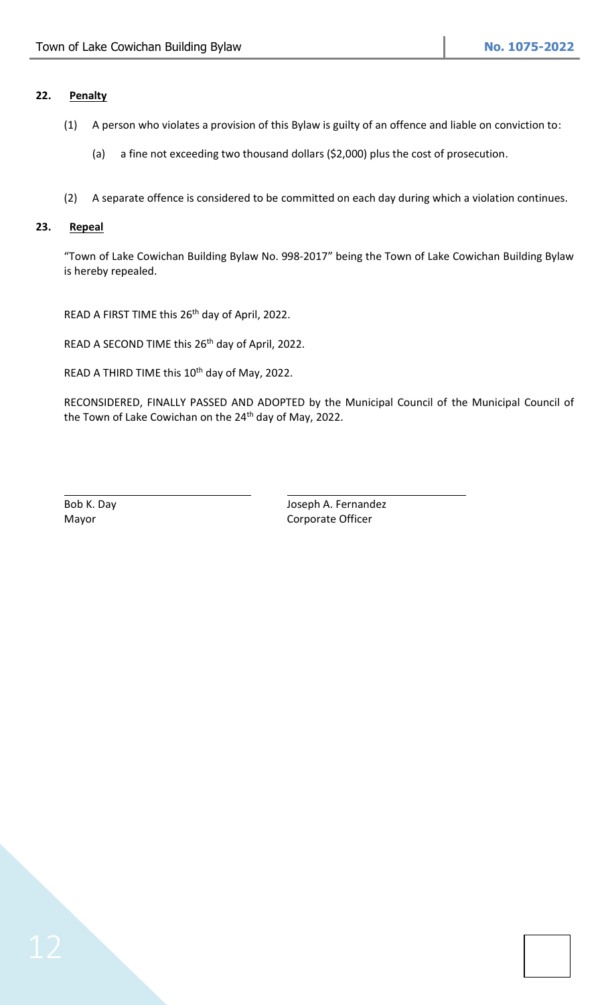## **22. Penalty**

- (1) A person who violates a provision of this Bylaw is guilty of an offence and liable on conviction to:
	- (a) a fine not exceeding two thousand dollars (\$2,000) plus the cost of prosecution.
- (2) A separate offence is considered to be committed on each day during which a violation continues.

## **23. Repeal**

"Town of Lake Cowichan Building Bylaw No. 998-2017" being the Town of Lake Cowichan Building Bylaw is hereby repealed.

READ A FIRST TIME this 26<sup>th</sup> day of April, 2022.

READ A SECOND TIME this 26<sup>th</sup> day of April, 2022.

READ A THIRD TIME this 10<sup>th</sup> day of May, 2022.

RECONSIDERED, FINALLY PASSED AND ADOPTED by the Municipal Council of the Municipal Council of the Town of Lake Cowichan on the 24<sup>th</sup> day of May, 2022.

Bob K. Day **Bob K. Day** Joseph A. Fernandez Mayor **Corporate Officer**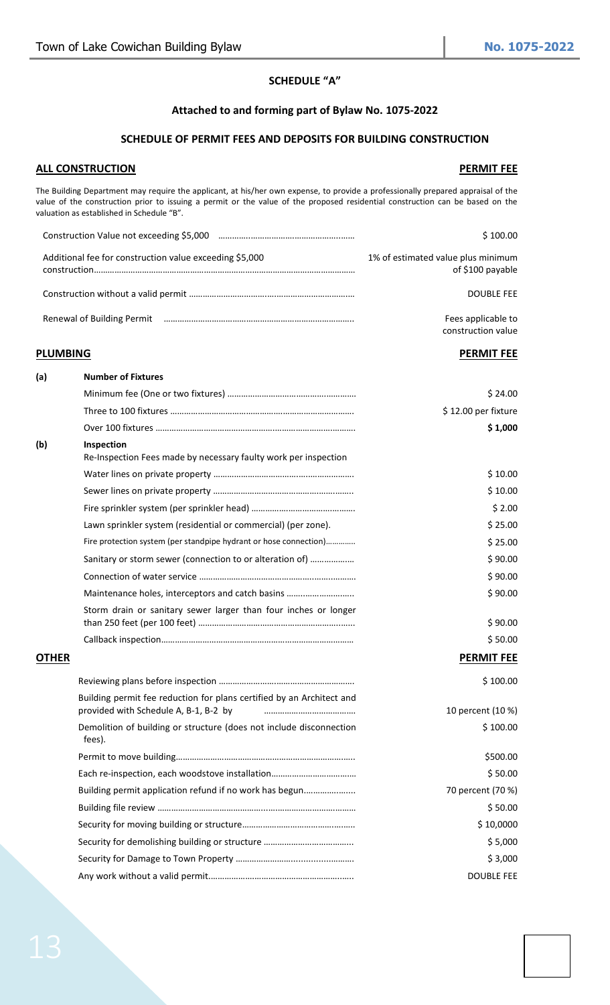## **SCHEDULE "A"**

#### **Attached to and forming part of Bylaw No. 1075-2022**

## **SCHEDULE OF PERMIT FEES AND DEPOSITS FOR BUILDING CONSTRUCTION**

#### **ALL CONSTRUCTION PERMIT FEE**

The Building Department may require the applicant, at his/her own expense, to provide a professionally prepared appraisal of the value of the construction prior to issuing a permit or the value of the proposed residential construction can be based on the valuation as established in Schedule "B".

|                 |                                                                               | \$100.00                                               |
|-----------------|-------------------------------------------------------------------------------|--------------------------------------------------------|
|                 | Additional fee for construction value exceeding \$5,000                       | 1% of estimated value plus minimum<br>of \$100 payable |
|                 |                                                                               | <b>DOUBLE FEE</b>                                      |
|                 |                                                                               | Fees applicable to<br>construction value               |
| <b>PLUMBING</b> |                                                                               | <b>PERMIT FEE</b>                                      |
| (a)             | <b>Number of Fixtures</b>                                                     |                                                        |
|                 |                                                                               | \$24.00                                                |
|                 |                                                                               | \$12.00 per fixture                                    |
|                 |                                                                               | \$1,000                                                |
| (b)             | Inspection<br>Re-Inspection Fees made by necessary faulty work per inspection |                                                        |
|                 |                                                                               | \$10.00                                                |
|                 |                                                                               | \$10.00                                                |
|                 |                                                                               | \$2.00                                                 |
|                 | Lawn sprinkler system (residential or commercial) (per zone).                 | \$25.00                                                |
|                 | Fire protection system (per standpipe hydrant or hose connection)             | \$25.00                                                |
|                 | Sanitary or storm sewer (connection to or alteration of)                      | \$90.00                                                |
|                 |                                                                               | \$90.00                                                |
|                 | Maintenance holes, interceptors and catch basins                              | \$90.00                                                |
|                 | Storm drain or sanitary sewer larger than four inches or longer               | \$90.00                                                |
|                 |                                                                               | \$50.00                                                |
| <b>OTHER</b>    |                                                                               | <b>PERMIT FEE</b>                                      |

|                                                                                                                | \$100.00          |
|----------------------------------------------------------------------------------------------------------------|-------------------|
| Building permit fee reduction for plans certified by an Architect and<br>provided with Schedule A, B-1, B-2 by | 10 percent (10 %) |
| Demolition of building or structure (does not include disconnection<br>fees).                                  | \$100.00          |
|                                                                                                                | \$500.00          |
|                                                                                                                | \$50.00           |
| Building permit application refund if no work has begun                                                        | 70 percent (70 %) |
|                                                                                                                | \$50.00           |
|                                                                                                                | \$10,0000         |
|                                                                                                                | \$5,000           |
|                                                                                                                | \$3,000           |
|                                                                                                                | <b>DOUBLE FEE</b> |